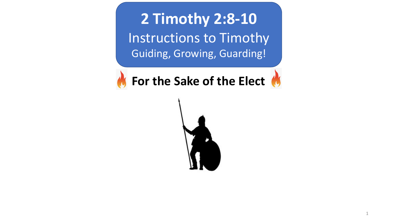**2 Timothy 2:8-10** Instructions to Timothy Guiding, Growing, Guarding!

*K* For the Sake of the Elect



1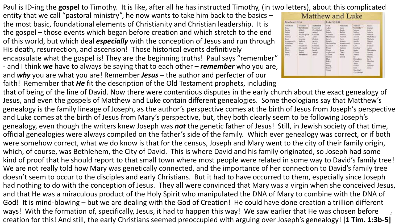Paul is ID-ing the **gospel** to Timothy. It is like, after all he has instructed Timothy, (in two letters), about this complicated

entity that we call "pastoral ministry", he now wants to take him back to the basics – the most basic, foundational elements of Christianity and Christian leadership. It is the gospel – those events which began before creation and which stretch to the end of this world, but which deal *especially* with the conception of Jesus and run through His death, resurrection, and ascension! Those historical events definitively encapsulate what the gospel is! They are the beginning truths! Paul says "remember" - and I think *we* have to always be saying that to each other – *remember* who you are, and *why* you are what you are! Remember *Jesus* – the author and perfecter of our faith! Remember that *He* fit the description of the Old Testament prophets, including

## Matthew and Luke Matthew 1:2-16 Luke 3:23-38 Solomon Abraham Nature **Rhena** Josewi **RIPLAND** Sheichiel **STANIE** Jacob Zerabbab **Abiof** Joseph Asianh Perez **Hukin Jchoduphat** Eliskin Phires Somoin Here Managya Mihef Ram Amminadab Jotham, Achim Naggu<br>Hodi Admiss. Amminadal Slovekiah Eleazon. Niène Lineck **Nations** Manasoch. Mathin Mathia Action Arens<br>Josiah<br>Jechnolah Jocina Manage Joseph Obed Elieter<br>Joshua Arphatics Joseph **Fieldia** Melch Levi<br>Matiha Course Addi. Mekta Joseph' Steake. Zerabbabel

that of being of the line of David. Now there were contentious disputes in the early church about the exact genealogy of Jesus, and even the gospels of Matthew and Luke contain different genealogies. Some theologians say that Matthew's genealogy is the family lineage of Joseph, as the author's perspective comes at the birth of Jesus from Joseph's perspective and Luke comes at the birth of Jesus from Mary's perspective, but, they both clearly seem to be following Joseph's genealogy, even though the writers knew Joseph was *not* the genetic father of Jesus! Still, in Jewish society of that time, official genealogies were always compiled on the father's side of the family. Which ever genealogy was correct, or if both were somehow correct, what we do know is that for the census, Joseph and Mary went to the city of their family origin, which, of course, was Bethlehem, the City of David. This is where David and his family originated, so Joseph had some kind of proof that he should report to that small town where most people were related in some way to David's family tree! We are not really told how Mary was genetically connected, and the importance of her connection to David's family tree doesn't seem to occur to the disciples and early Christians. But it had to have occurred to them, especially since Joseph had nothing to do with the conception of Jesus. They all were convinced that Mary was a virgin when she conceived Jesus, and that He was a miraculous product of the Holy Spirit who manipulated the DNA of Mary to combine with the DNA of God! It is mind-blowing – but we are dealing with the God of Creation! He could have done creation a trillion different ways! With the formation of, specifically, Jesus, it had to happen this way! We saw earlier that He was chosen before creation for this! And still, the early Christians seemed preoccupied with arguing over Joseph's genealogy! **[1 Tim. 1:3b-5]** 2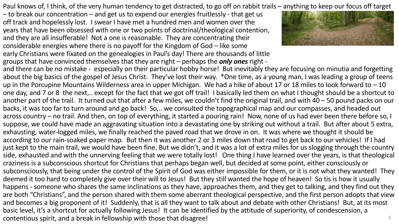Paul knows of, I think, of the very human tendency to get distracted, to go off on rabbit trails – anything to keep our focus off target

– to break our concentration – and get us to expend our energies fruitlessly - that get us off track and hopelessly lost. I swear I have met a hundred men and women over the years that have been obsessed with one or two points of doctrinal/theological contention, and they are all insufferable! Not a one is reasonable. They are concentrating their considerable energies where there is no payoff for the Kingdom of God – like some early Christians were fixated on the genealogies in Paul's day! There are thousands of little groups that have convinced themselves that they are right – perhaps the *only ones* right -



and there can be no mistake - especially on their particular hobby horse! But inevitably they are focusing on minutia and forgetting about the big basics of the gospel of Jesus Christ. They've lost their way. \*One time, as a young man, I was leading a group of teens up in the Porcupine Mountains Wilderness area in upper Michigan. We had a hike of about 17 or 18 miles to look forward to  $-10$ one day, and 7 or 8 the next,.. except for the fact that we got off trail! I basically led them on what I thought should be a shortcut to another part of the trail. It turned out that after a few miles, we couldn't find the original trail, and with 40 – 50 pound packs on our backs, it was too far to turn around and go back! So,.. we consulted the topographical map and our compasses, and headed out across country – no trail. And then, on top of everything, it started a pouring rain! Now, none of us had ever been there before so, I suppose, we could have made an aggravating situation into a devastating one by striking out without a trail. But after about 5 extra, exhausting, water-logged miles, we finally reached the paved road that we drove in on. It was where we thought it should be according to our rain-soaked paper map. But then it was another 2 or 3 miles down that road to get back to our vehicles! If I had just kept to the main trail, we would have been fine. But we didn't, and it was a lot of extra miles for us slogging through the country side, exhausted and with the unnerving feeling that we were totally lost! One thing I have learned over the years, is that theological craziness is a subconscious shortcut for Christians that perhaps began well, but decided at some point, either consciously or subconsciously, that being under the control of the Spirit of God was either impossible for them, or it is not what they wanted! They deemed it too hard to completely give over their will to Jesus! But they still wanted the hope of heaven! So tis is how it usually happens - someone who shares the same inclinations as they have, approaches them, and they get to talking, and they find out they are both "Christians", and the person shared with them some aberrant theological perspective, and the first person adopts that view and becomes a big proponent of it! Suddenly, that is all they want to talk about and debate with other Christians! But, at its most basic level, it's a shortcut for actually following Jesus! It can be identified by the attitude of superiority, of condescension, a contentious spirit, and a break in fellowship with those that disagree! 3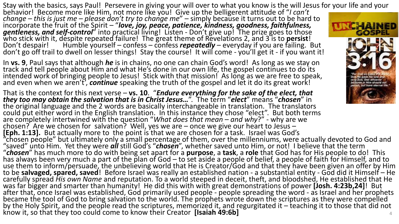Stay with the basics, says Paul! Persevere in giving your will over to what you know is the will Jesus for your life and your

behavior! Become more like Him, not more like you! Give up the belligerent attitude of "*I can't*<br>change – this is just me – please don't try to change me" – simply because it turns out to be hard to incorporate the fruit of the Spirit – "**love, joy, peace, patience, kindness, goodness, faithfulness, gentleness**<br>**gentleness, and self-control**" into practical living! Listen - Don't give up! The prize goes to those<br>who s Don't despair! Humble yourself – confess – confess *repeatedly* – everyday if you are failing. But Don't go off trail to dwell on lesser things! Stay the course! It will come - you'll get it - if you want it!

In **vs. 9**, Paul says that although *he* is in chains, no one can chain God's word! As long as we stay on track and tell people about Him and what He's done in our own life, the gospel continues to do its intended work of bringing people to Jesus! Stick with that mission! As long as we are free to speak, and even when we aren't', **continue** speaking the truth of the gospel and let it do its great work!

That is the context for this next verse – **vs. 10**. "*Endure everything for the sake of the elect, that they too may obtain the salvation that is in Christ Jesus…*". The term "*elect*" means "*chosen*" in the original language and the 2 words are basically interchangeable in translation. The translators could put either word in the English translation. In this instance they chose "elect". But both terms are completely intertwined with the question "What does that mean – and why?" - why are we chosen?' Are we chosen for salvation? Well, yes we are – once we give our heart to Jesus –<br>[Eph. 1:13]. But actually more to the point is that we are chosen for a task. Israel was God's<br>"chosen people" but ultimately only "saved" unto Him. Yet they were *all* still God's "*chosen*", whether saved unto Him, or not! I believe that the term<br>"chosen" has much more to do with being set apart for a purpose, a task, a role that God has for His peo has always been very much a part of the plan of God – to set aside a people of belief, a people of faith for Himself, and to<br>use them to inform/persuade, the unbelieving world that He is Creator/God and that they have been to be **salvaged, spared, saved**! Before Israel was really an established nation - a substantial entity - God did it Himself – He carefully spread *His own Name* and reputation. To a world steeped in deceit, theft, and bloodshed, He established that He<br>was far bigger and smarter than humanity! He did this with with great demonstrations of power **[Jos** after that, once Israel was established, God primarily used people - people spreading the word - as Israel and her prophets<br>became the tool of God to bring salvation to the world. The prophets wrote down the scriptures as by the Holy Spirit, and the people read the scriptures, memorized it, and regurgitated it – teaching it to those that did not know it, so that they too could come to know their Creator **[Isaiah 49:6b]** <sup>4</sup>